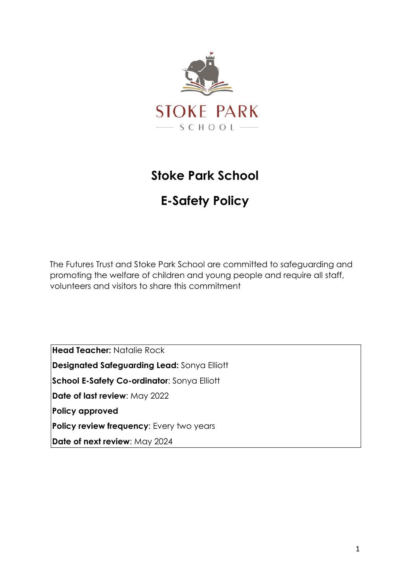

# **Stoke Park School**

# **E-Safety Policy**

The Futures Trust and Stoke Park School are committed to safeguarding and promoting the welfare of children and young people and require all staff, volunteers and visitors to share this commitment

**Head Teacher:** Natalie Rock **Designated Safeguarding Lead:** Sonya Elliott **School E-Safety Co-ordinator**: Sonya Elliott **Date of last review**: May 2022 **Policy approved Policy review frequency:** Every two years **Date of next review**: May 2024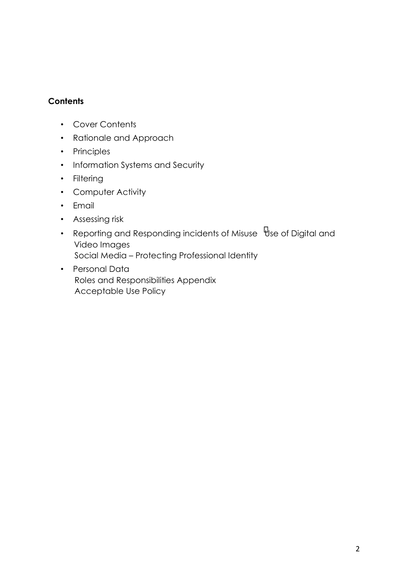## **Contents**

- Cover Contents
- Rationale and Approach
- Principles
- Information Systems and Security
- Filtering
- Computer Activity
- Email
- Assessing risk
- Reporting and Responding incidents of Misuse  $\overline{\Psi}$ se of Digital and Video Images Social Media – Protecting Professional Identity
- Personal Data Roles and Responsibilities Appendix Acceptable Use Policy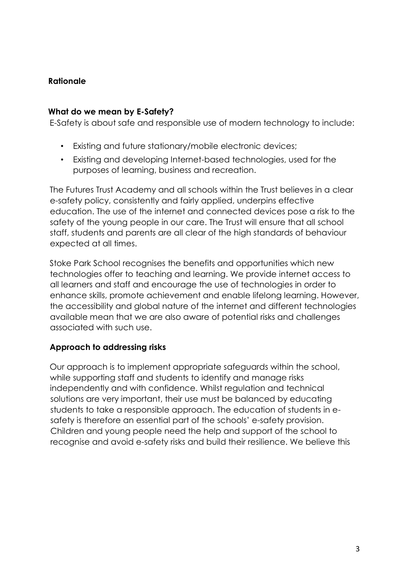# **Rationale**

## **What do we mean by E-Safety?**

E-Safety is about safe and responsible use of modern technology to include:

- Existing and future stationary/mobile electronic devices;
- Existing and developing Internet-based technologies, used for the purposes of learning, business and recreation.

The Futures Trust Academy and all schools within the Trust believes in a clear e-safety policy, consistently and fairly applied, underpins effective education. The use of the internet and connected devices pose a risk to the safety of the young people in our care. The Trust will ensure that all school staff, students and parents are all clear of the high standards of behaviour expected at all times.

Stoke Park School recognises the benefits and opportunities which new technologies offer to teaching and learning. We provide internet access to all learners and staff and encourage the use of technologies in order to enhance skills, promote achievement and enable lifelong learning. However, the accessibility and global nature of the internet and different technologies available mean that we are also aware of potential risks and challenges associated with such use.

# **Approach to addressing risks**

Our approach is to implement appropriate safeguards within the school, while supporting staff and students to identify and manage risks independently and with confidence. Whilst regulation and technical solutions are very important, their use must be balanced by educating students to take a responsible approach. The education of students in esafety is therefore an essential part of the schools' e-safety provision. Children and young people need the help and support of the school to recognise and avoid e-safety risks and build their resilience. We believe this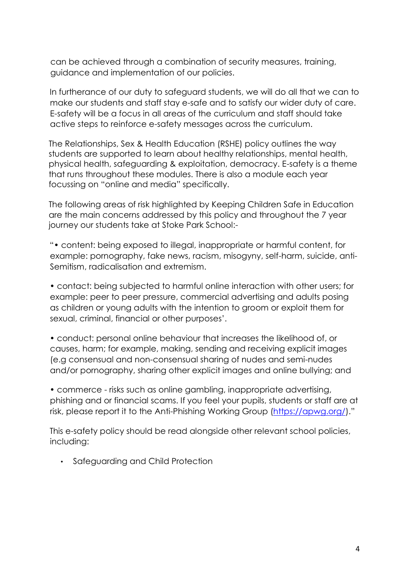can be achieved through a combination of security measures, training, guidance and implementation of our policies.

In furtherance of our duty to safeguard students, we will do all that we can to make our students and staff stay e-safe and to satisfy our wider duty of care. E-safety will be a focus in all areas of the curriculum and staff should take active steps to reinforce e-safety messages across the curriculum.

The Relationships, Sex & Health Education (RSHE) policy outlines the way students are supported to learn about healthy relationships, mental health, physical health, safeguarding & exploitation, democracy. E-safety is a theme that runs throughout these modules. There is also a module each year focussing on "online and media" specifically.

The following areas of risk highlighted by Keeping Children Safe in Education are the main concerns addressed by this policy and throughout the 7 year journey our students take at Stoke Park School:-

"• content: being exposed to illegal, inappropriate or harmful content, for example: pornography, fake news, racism, misogyny, self-harm, suicide, anti-Semitism, radicalisation and extremism.

• contact: being subjected to harmful online interaction with other users; for example: peer to peer pressure, commercial advertising and adults posing as children or young adults with the intention to groom or exploit them for sexual, criminal, financial or other purposes'.

• conduct: personal online behaviour that increases the likelihood of, or causes, harm; for example, making, sending and receiving explicit images (e.g consensual and non-consensual sharing of nudes and semi-nudes and/or pornography, sharing other explicit images and online bullying; and

• commerce - risks such as online gambling, inappropriate advertising, phishing and or financial scams. If you feel your pupils, students or staff are at risk, please report it to the Anti-Phishing Working Group [\(https://apwg.org/](https://apwg.org/))."

This e-safety policy should be read alongside other relevant school policies, including:

• Safeguarding and Child Protection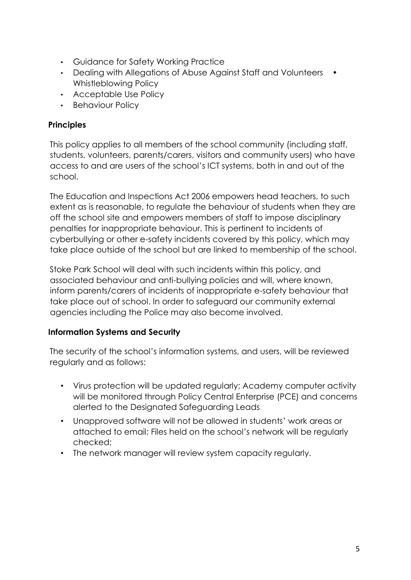- Guidance for Safety Working Practice
- Dealing with Allegations of Abuse Against Staff and Volunteers Whistleblowing Policy
- Acceptable Use Policy
- Behaviour Policy

# **Principles**

This policy applies to all members of the school community (including staff, students, volunteers, parents/carers, visitors and community users) who have access to and are users of the school's ICT systems, both in and out of the school.

The Education and Inspections Act 2006 empowers head teachers, to such extent as is reasonable, to regulate the behaviour of students when they are off the school site and empowers members of staff to impose disciplinary penalties for inappropriate behaviour. This is pertinent to incidents of cyberbullying or other e-safety incidents covered by this policy, which may take place outside of the school but are linked to membership of the school.

Stoke Park School will deal with such incidents within this policy, and associated behaviour and anti-bullying policies and will, where known, inform parents/carers of incidents of inappropriate e-safety behaviour that take place out of school. In order to safeguard our community external agencies including the Police may also become involved.

# **Information Systems and Security**

The security of the school's information systems, and users, will be reviewed regularly and as follows:

- Virus protection will be updated regularly; Academy computer activity will be monitored through Policy Central Enterprise (PCE) and concerns alerted to the Designated Safeguarding Leads
- Unapproved software will not be allowed in students' work areas or attached to email; Files held on the school's network will be regularly checked;
- The network manager will review system capacity regularly.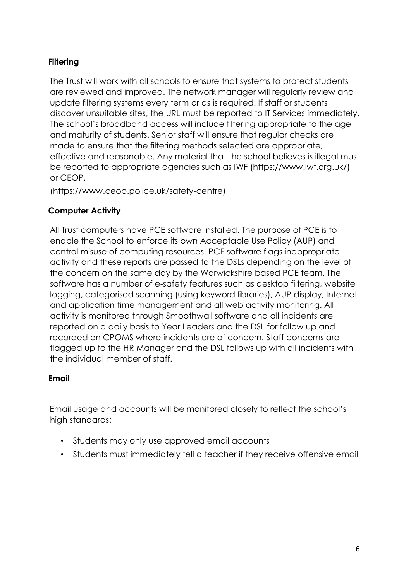# **Filtering**

The Trust will work with all schools to ensure that systems to protect students are reviewed and improved. The network manager will regularly review and update filtering systems every term or as is required. If staff or students discover unsuitable sites, the URL must be reported to IT Services immediately. The school's broadband access will include filtering appropriate to the age and maturity of students. Senior staff will ensure that regular checks are made to ensure that the filtering methods selected are appropriate, effective and reasonable. Any material that the school believes is illegal must be reported to appropriate agencies such as IWF (https://www.iwf.org.uk/) or CEOP.

(https://www.ceop.police.uk/safety-centre)

# **Computer Activity**

All Trust computers have PCE software installed. The purpose of PCE is to enable the School to enforce its own Acceptable Use Policy (AUP) and control misuse of computing resources. PCE software flags inappropriate activity and these reports are passed to the DSLs depending on the level of the concern on the same day by the Warwickshire based PCE team. The software has a number of e-safety features such as desktop filtering, website logging, categorised scanning (using keyword libraries), AUP display, Internet and application time management and all web activity monitoring. All activity is monitored through Smoothwall software and all incidents are reported on a daily basis to Year Leaders and the DSL for follow up and recorded on CPOMS where incidents are of concern. Staff concerns are flagged up to the HR Manager and the DSL follows up with all incidents with the individual member of staff.

# **Email**

Email usage and accounts will be monitored closely to reflect the school's high standards:

- Students may only use approved email accounts
- Students must immediately tell a teacher if they receive offensive email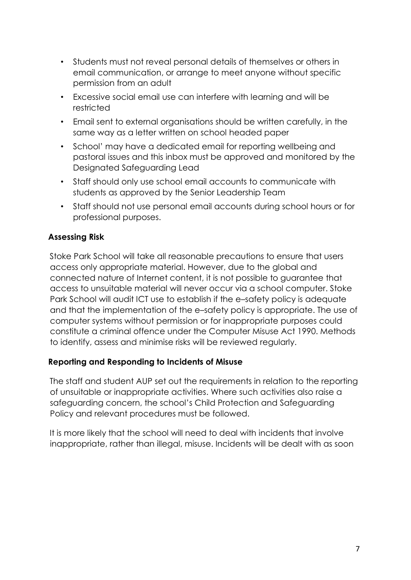- Students must not reveal personal details of themselves or others in email communication, or arrange to meet anyone without specific permission from an adult
- Excessive social email use can interfere with learning and will be restricted
- Email sent to external organisations should be written carefully, in the same way as a letter written on school headed paper
- School' may have a dedicated email for reporting wellbeing and pastoral issues and this inbox must be approved and monitored by the Designated Safeguarding Lead
- Staff should only use school email accounts to communicate with students as approved by the Senior Leadership Team
- Staff should not use personal email accounts during school hours or for professional purposes.

# **Assessing Risk**

Stoke Park School will take all reasonable precautions to ensure that users access only appropriate material. However, due to the global and connected nature of Internet content, it is not possible to guarantee that access to unsuitable material will never occur via a school computer. Stoke Park School will audit ICT use to establish if the e–safety policy is adequate and that the implementation of the e–safety policy is appropriate. The use of computer systems without permission or for inappropriate purposes could constitute a criminal offence under the Computer Misuse Act 1990. Methods to identify, assess and minimise risks will be reviewed regularly.

# **Reporting and Responding to Incidents of Misuse**

The staff and student AUP set out the requirements in relation to the reporting of unsuitable or inappropriate activities. Where such activities also raise a safeguarding concern, the school's Child Protection and Safeguarding Policy and relevant procedures must be followed.

It is more likely that the school will need to deal with incidents that involve inappropriate, rather than illegal, misuse. Incidents will be dealt with as soon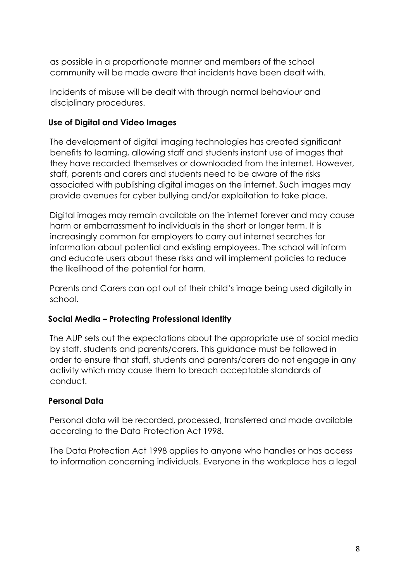as possible in a proportionate manner and members of the school community will be made aware that incidents have been dealt with.

Incidents of misuse will be dealt with through normal behaviour and disciplinary procedures.

# **Use of Digital and Video Images**

The development of digital imaging technologies has created significant benefits to learning, allowing staff and students instant use of images that they have recorded themselves or downloaded from the internet. However, staff, parents and carers and students need to be aware of the risks associated with publishing digital images on the internet. Such images may provide avenues for cyber bullying and/or exploitation to take place.

Digital images may remain available on the internet forever and may cause harm or embarrassment to individuals in the short or longer term. It is increasingly common for employers to carry out internet searches for information about potential and existing employees. The school will inform and educate users about these risks and will implement policies to reduce the likelihood of the potential for harm.

Parents and Carers can opt out of their child's image being used digitally in school.

# **Social Media – Protecting Professional Identity**

The AUP sets out the expectations about the appropriate use of social media by staff, students and parents/carers. This guidance must be followed in order to ensure that staff, students and parents/carers do not engage in any activity which may cause them to breach acceptable standards of conduct.

# **Personal Data**

Personal data will be recorded, processed, transferred and made available according to the Data Protection Act 1998.

The Data Protection Act 1998 applies to anyone who handles or has access to information concerning individuals. Everyone in the workplace has a legal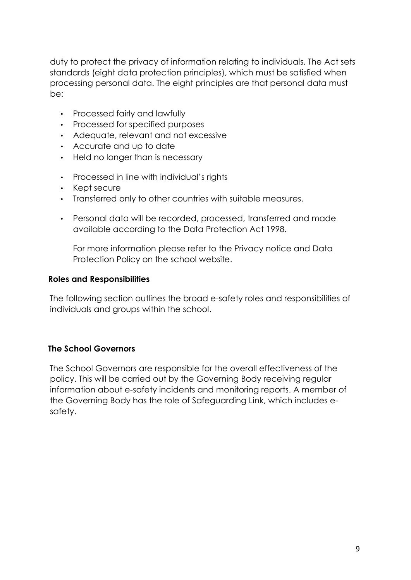duty to protect the privacy of information relating to individuals. The Act sets standards (eight data protection principles), which must be satisfied when processing personal data. The eight principles are that personal data must be:

- Processed fairly and lawfully
- Processed for specified purposes
- Adequate, relevant and not excessive
- Accurate and up to date
- Held no longer than is necessary
- Processed in line with individual's rights
- Kept secure
- Transferred only to other countries with suitable measures.
- Personal data will be recorded, processed, transferred and made available according to the Data Protection Act 1998.

For more information please refer to the Privacy notice and Data Protection Policy on the school website.

#### **Roles and Responsibilities**

The following section outlines the broad e-safety roles and responsibilities of individuals and groups within the school.

# **The School Governors**

The School Governors are responsible for the overall effectiveness of the policy. This will be carried out by the Governing Body receiving regular information about e-safety incidents and monitoring reports. A member of the Governing Body has the role of Safeguarding Link, which includes esafety.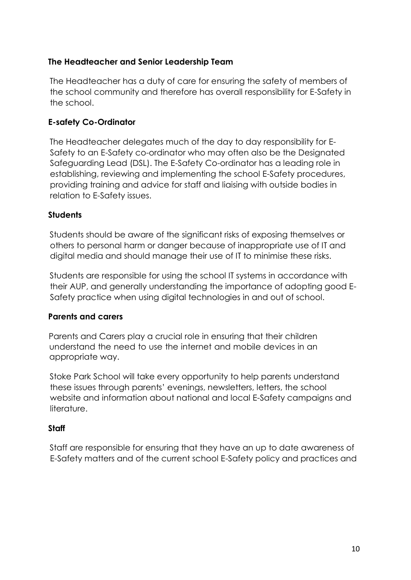# **The Headteacher and Senior Leadership Team**

The Headteacher has a duty of care for ensuring the safety of members of the school community and therefore has overall responsibility for E-Safety in the school.

## **E-safety Co-Ordinator**

The Headteacher delegates much of the day to day responsibility for E-Safety to an E-Safety co-ordinator who may often also be the Designated Safeguarding Lead (DSL). The E-Safety Co-ordinator has a leading role in establishing, reviewing and implementing the school E-Safety procedures, providing training and advice for staff and liaising with outside bodies in relation to E-Safety issues.

## **Students**

Students should be aware of the significant risks of exposing themselves or others to personal harm or danger because of inappropriate use of IT and digital media and should manage their use of IT to minimise these risks.

Students are responsible for using the school IT systems in accordance with their AUP, and generally understanding the importance of adopting good E-Safety practice when using digital technologies in and out of school.

## **Parents and carers**

Parents and Carers play a crucial role in ensuring that their children understand the need to use the internet and mobile devices in an appropriate way.

Stoke Park School will take every opportunity to help parents understand these issues through parents' evenings, newsletters, letters, the school website and information about national and local E-Safety campaigns and literature.

## **Staff**

Staff are responsible for ensuring that they have an up to date awareness of E-Safety matters and of the current school E-Safety policy and practices and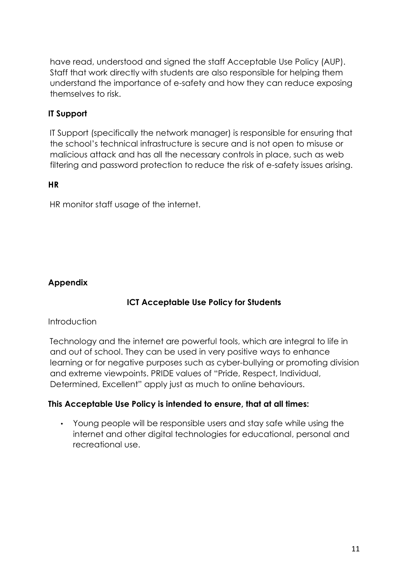have read, understood and signed the staff Acceptable Use Policy (AUP). Staff that work directly with students are also responsible for helping them understand the importance of e-safety and how they can reduce exposing themselves to risk.

# **IT Support**

IT Support (specifically the network manager) is responsible for ensuring that the school's technical infrastructure is secure and is not open to misuse or malicious attack and has all the necessary controls in place, such as web filtering and password protection to reduce the risk of e-safety issues arising.

## **HR**

HR monitor staff usage of the internet.

# **Appendix**

# **ICT Acceptable Use Policy for Students**

## **Introduction**

Technology and the internet are powerful tools, which are integral to life in and out of school. They can be used in very positive ways to enhance learning or for negative purposes such as cyber-bullying or promoting division and extreme viewpoints. PRIDE values of "Pride, Respect, Individual, Determined, Excellent" apply just as much to online behaviours.

## **This Acceptable Use Policy is intended to ensure, that at all times:**

• Young people will be responsible users and stay safe while using the internet and other digital technologies for educational, personal and recreational use.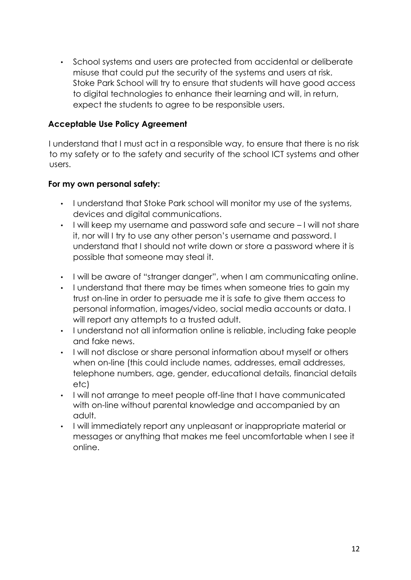• School systems and users are protected from accidental or deliberate misuse that could put the security of the systems and users at risk. Stoke Park School will try to ensure that students will have good access to digital technologies to enhance their learning and will, in return, expect the students to agree to be responsible users.

## **Acceptable Use Policy Agreement**

I understand that I must act in a responsible way, to ensure that there is no risk to my safety or to the safety and security of the school ICT systems and other users.

## **For my own personal safety:**

- I understand that Stoke Park school will monitor my use of the systems, devices and digital communications.
- I will keep my username and password safe and secure I will not share it, nor will I try to use any other person's username and password. I understand that I should not write down or store a password where it is possible that someone may steal it.
- I will be aware of "stranger danger", when I am communicating online.
- I understand that there may be times when someone tries to gain my trust on-line in order to persuade me it is safe to give them access to personal information, images/video, social media accounts or data. I will report any attempts to a trusted adult.
- I understand not all information online is reliable, including fake people and fake news.
- I will not disclose or share personal information about myself or others when on-line (this could include names, addresses, email addresses, telephone numbers, age, gender, educational details, financial details etc)
- I will not arrange to meet people off-line that I have communicated with on-line without parental knowledge and accompanied by an adult.
- I will immediately report any unpleasant or inappropriate material or messages or anything that makes me feel uncomfortable when I see it online.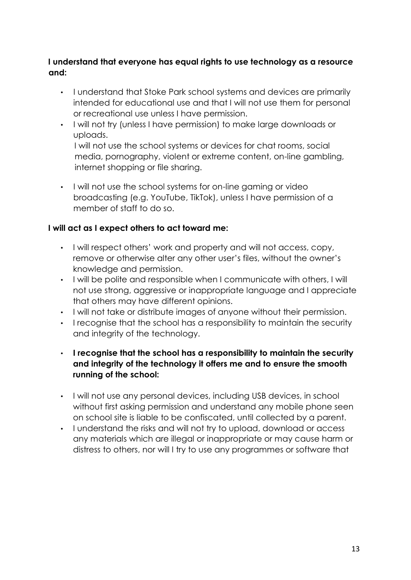# **I understand that everyone has equal rights to use technology as a resource and:**

- I understand that Stoke Park school systems and devices are primarily intended for educational use and that I will not use them for personal or recreational use unless I have permission.
- I will not try (unless I have permission) to make large downloads or uploads.

I will not use the school systems or devices for chat rooms, social media, pornography, violent or extreme content, on-line gambling, internet shopping or file sharing.

• I will not use the school systems for on-line gaming or video broadcasting (e.g. YouTube, TikTok), unless I have permission of a member of staff to do so.

# **I will act as I expect others to act toward me:**

- I will respect others' work and property and will not access, copy, remove or otherwise alter any other user's files, without the owner's knowledge and permission.
- I will be polite and responsible when I communicate with others, I will not use strong, aggressive or inappropriate language and I appreciate that others may have different opinions.
- I will not take or distribute images of anyone without their permission.
- I recognise that the school has a responsibility to maintain the security and integrity of the technology.
- **I recognise that the school has a responsibility to maintain the security and integrity of the technology it offers me and to ensure the smooth running of the school:**
- I will not use any personal devices, including USB devices, in school without first asking permission and understand any mobile phone seen on school site is liable to be confiscated, until collected by a parent.
- I understand the risks and will not try to upload, download or access any materials which are illegal or inappropriate or may cause harm or distress to others, nor will I try to use any programmes or software that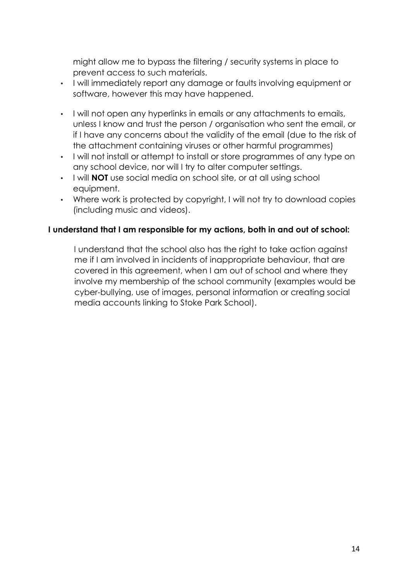might allow me to bypass the filtering / security systems in place to prevent access to such materials.

- I will immediately report any damage or faults involving equipment or software, however this may have happened.
- I will not open any hyperlinks in emails or any attachments to emails, unless I know and trust the person / organisation who sent the email, or if I have any concerns about the validity of the email (due to the risk of the attachment containing viruses or other harmful programmes)
- I will not install or attempt to install or store programmes of any type on any school device, nor will I try to alter computer settings.
- I will **NOT** use social media on school site, or at all using school equipment.
- Where work is protected by copyright, I will not try to download copies (including music and videos).

# **I understand that I am responsible for my actions, both in and out of school:**

I understand that the school also has the right to take action against me if I am involved in incidents of inappropriate behaviour, that are covered in this agreement, when I am out of school and where they involve my membership of the school community (examples would be cyber-bullying, use of images, personal information or creating social media accounts linking to Stoke Park School).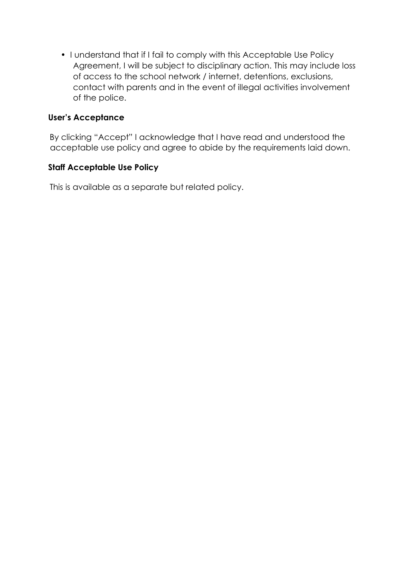• I understand that if I fail to comply with this Acceptable Use Policy Agreement, I will be subject to disciplinary action. This may include loss of access to the school network / internet, detentions, exclusions, contact with parents and in the event of illegal activities involvement of the police.

## **User's Acceptance**

By clicking "Accept" I acknowledge that I have read and understood the acceptable use policy and agree to abide by the requirements laid down.

## **Staff Acceptable Use Policy**

This is available as a separate but related policy.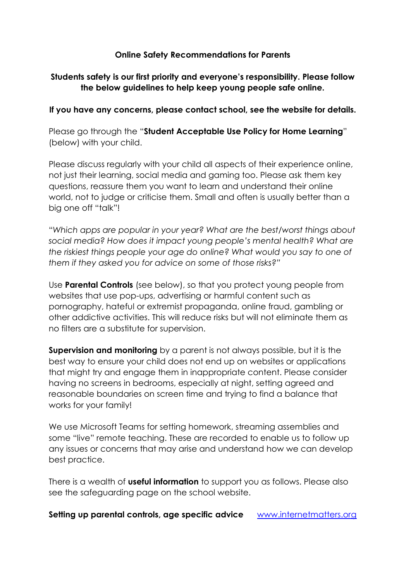## **Online Safety Recommendations for Parents**

# **Students safety is our first priority and everyone's responsibility. Please follow the below guidelines to help keep young people safe online.**

## **If you have any concerns, please contact school, see the website for details.**

Please go through the "**Student Acceptable Use Policy for Home Learning**" (below) with your child.

Please discuss regularly with your child all aspects of their experience online, not just their learning, social media and gaming too. Please ask them key questions, reassure them you want to learn and understand their online world, not to judge or criticise them. Small and often is usually better than a big one off "talk"!

"*Which apps are popular in your year? What are the best/worst things about social media? How does it impact young people's mental health? What are the riskiest things people your age do online? What would you say to one of them if they asked you for advice on some of those risks?"*

Use **Parental Controls** (see below), so that you protect young people from websites that use pop-ups, advertising or harmful content such as pornography, hateful or extremist propaganda, online fraud, gambling or other addictive activities. This will reduce risks but will not eliminate them as no filters are a substitute for supervision.

**Supervision and monitoring** by a parent is not always possible, but it is the best way to ensure your child does not end up on websites or applications that might try and engage them in inappropriate content. Please consider having no screens in bedrooms, especially at night, setting agreed and reasonable boundaries on screen time and trying to find a balance that works for your family!

We use Microsoft Teams for setting homework, streaming assemblies and some "live" remote teaching. These are recorded to enable us to follow up any issues or concerns that may arise and understand how we can develop best practice.

There is a wealth of **useful information** to support you as follows. Please also see the safeguarding page on the school website.

**Setting up parental controls, age specific advice** [www.internetmatters.org](http://www.internetmatters.org/)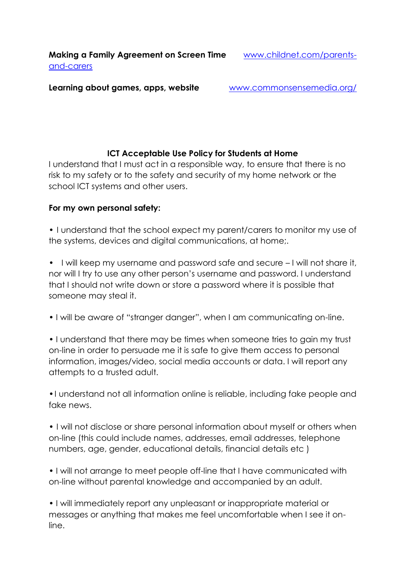**Making a Family Agreement on Screen Time** [www.childnet.com/parents](http://www.childnet.com/parents-and-carers)[and-carers](http://www.childnet.com/parents-and-carers)

**Learning about games, apps, website** [www.commonsensemedia.org/](http://www.commonsensemedia.org/)

# **ICT Acceptable Use Policy for Students at Home**

I understand that I must act in a responsible way, to ensure that there is no risk to my safety or to the safety and security of my home network or the school ICT systems and other users.

# **For my own personal safety:**

• I understand that the school expect my parent/carers to monitor my use of the systems, devices and digital communications, at home;.

• I will keep my username and password safe and secure – I will not share it, nor will I try to use any other person's username and password. I understand that I should not write down or store a password where it is possible that someone may steal it.

• I will be aware of "stranger danger", when I am communicating on-line.

• I understand that there may be times when someone tries to gain my trust on-line in order to persuade me it is safe to give them access to personal information, images/video, social media accounts or data. I will report any attempts to a trusted adult.

•I understand not all information online is reliable, including fake people and fake news.

• I will not disclose or share personal information about myself or others when on-line (this could include names, addresses, email addresses, telephone numbers, age, gender, educational details, financial details etc )

• I will not arrange to meet people off-line that I have communicated with on-line without parental knowledge and accompanied by an adult.

• I will immediately report any unpleasant or inappropriate material or messages or anything that makes me feel uncomfortable when I see it online.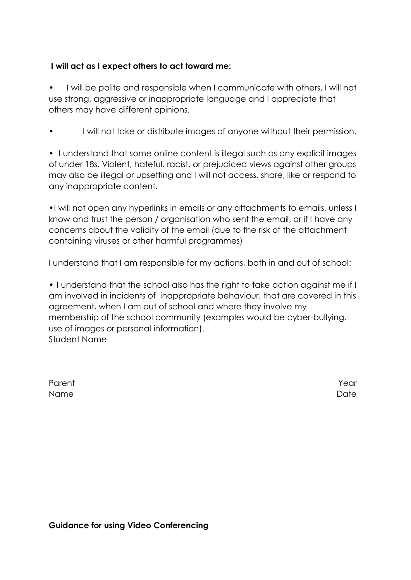# **I will act as I expect others to act toward me:**

• I will be polite and responsible when I communicate with others, I will not use strong, aggressive or inappropriate language and I appreciate that others may have different opinions.

I will not take or distribute images of anyone without their permission.

• I understand that some online content is illegal such as any explicit images of under 18s. Violent, hateful. racist, or prejudiced views against other groups may also be illegal or upsetting and I will not access, share, like or respond to any inappropriate content.

•I will not open any hyperlinks in emails or any attachments to emails, unless I know and trust the person / organisation who sent the email, or if I have any concerns about the validity of the email (due to the risk of the attachment containing viruses or other harmful programmes)

I understand that I am responsible for my actions, both in and out of school:

• I understand that the school also has the right to take action against me if I am involved in incidents of inappropriate behaviour, that are covered in this agreement, when I am out of school and where they involve my membership of the school community (examples would be cyber-bullying, use of images or personal information). Student Name

| Parent | Year |
|--------|------|
| Name   | Date |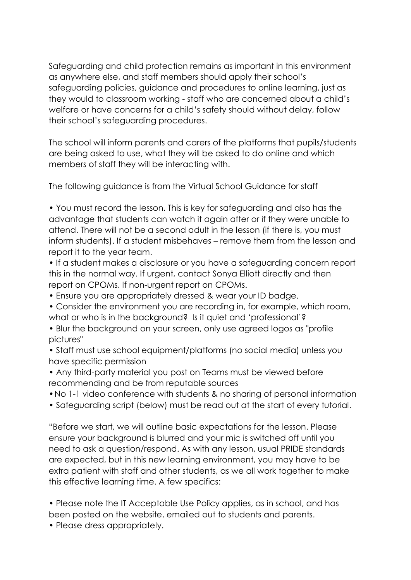Safeguarding and child protection remains as important in this environment as anywhere else, and staff members should apply their school's safeguarding policies, guidance and procedures to online learning, just as they would to classroom working - staff who are concerned about a child's welfare or have concerns for a child's safety should without delay, follow their school's safeguarding procedures.

The school will inform parents and carers of the platforms that pupils/students are being asked to use, what they will be asked to do online and which members of staff they will be interacting with.

The following guidance is from the Virtual School Guidance for staff

• You must record the lesson. This is key for safeguarding and also has the advantage that students can watch it again after or if they were unable to attend. There will not be a second adult in the lesson (if there is, you must inform students). If a student misbehaves – remove them from the lesson and report it to the year team.

• If a student makes a disclosure or you have a safeguarding concern report this in the normal way. If urgent, contact Sonya Elliott directly and then report on CPOMs. If non-urgent report on CPOMs.

- Ensure you are appropriately dressed & wear your ID badge.
- Consider the environment you are recording in, for example, which room, what or who is in the background? Is it quiet and 'professional'?
- Blur the background on your screen, only use agreed logos as "profile pictures"
- Staff must use school equipment/platforms (no social media) unless you have specific permission
- Any third-party material you post on Teams must be viewed before recommending and be from reputable sources
- •No 1-1 video conference with students & no sharing of personal information
- Safeguarding script (below) must be read out at the start of every tutorial.

"Before we start, we will outline basic expectations for the lesson. Please ensure your background is blurred and your mic is switched off until you need to ask a question/respond. As with any lesson, usual PRIDE standards are expected, but in this new learning environment, you may have to be extra patient with staff and other students, as we all work together to make this effective learning time. A few specifics:

• Please note the IT Acceptable Use Policy applies, as in school, and has been posted on the website, emailed out to students and parents.

• Please dress appropriately.